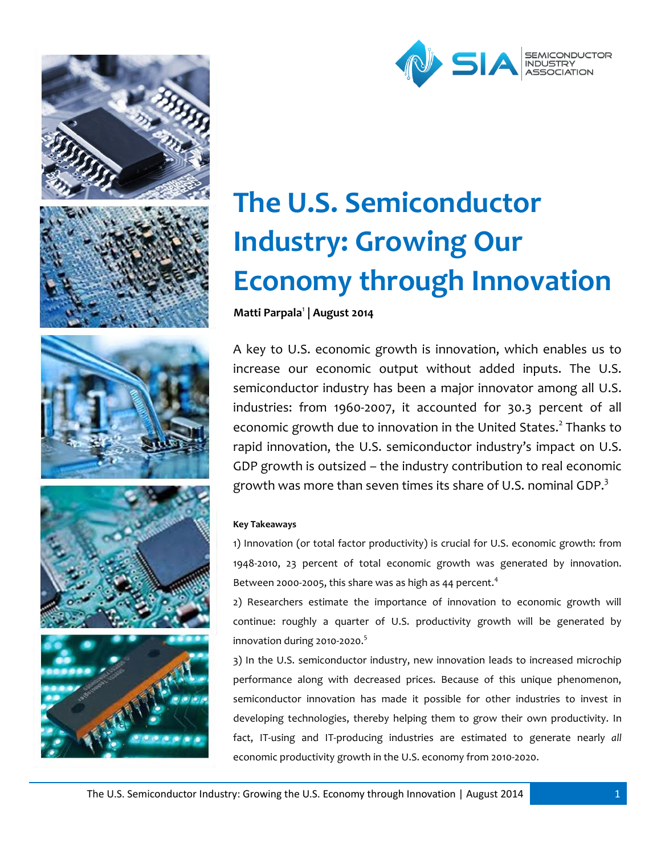



# **The U.S. Semiconductor Industry: Growing Our Economy through Innovation**

**Matti Parpala**<sup>1</sup> **| August 2014**

A key to U.S. economic growth is innovation, which enables us to increase our economic output without added inputs. The U.S. semiconductor industry has been a major innovator among all U.S. industries: from 1960-2007, it accounted for 30.3 percent of all economic growth due to innovation in the United States.<sup>2</sup> Thanks to rapid innovation, the U.S. semiconductor industry's impact on U.S. GDP growth is outsized – the industry contribution to real economic growth was more than seven times its share of U.S. nominal GDP. $3$ 

# **Key Takeaways**

1) Innovation (or total factor productivity) is crucial for U.S. economic growth: from 1948-2010, 23 percent of total economic growth was generated by innovation. Between 2000-2005, this share was as high as 44 percent.<sup>4</sup>

2) Researchers estimate the importance of innovation to economic growth will continue: roughly a quarter of U.S. productivity growth will be generated by innovation during 2010-2020. 5

3) In the U.S. semiconductor industry, new innovation leads to increased microchip performance along with decreased prices. Because of this unique phenomenon, semiconductor innovation has made it possible for other industries to invest in developing technologies, thereby helping them to grow their own productivity. In fact, IT-using and IT-producing industries are estimated to generate nearly *all* economic productivity growth in the U.S. economy from 2010-2020.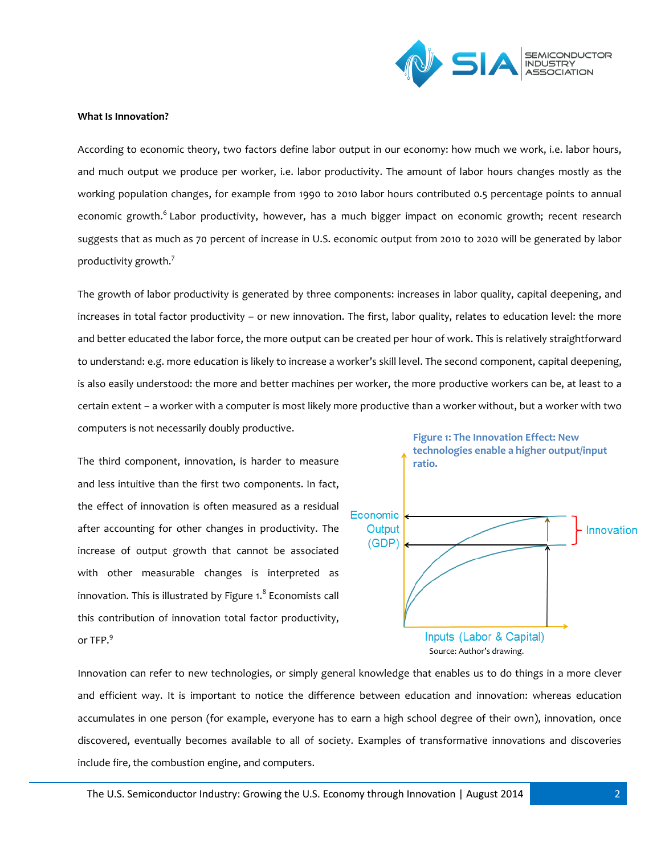

#### **What Is Innovation?**

According to economic theory, two factors define labor output in our economy: how much we work, i.e. labor hours, and much output we produce per worker, i.e. labor productivity. The amount of labor hours changes mostly as the working population changes, for example from 1990 to 2010 labor hours contributed 0.5 percentage points to annual economic growth.<sup>6</sup> Labor productivity, however, has a much bigger impact on economic growth; recent research suggests that as much as 70 percent of increase in U.S. economic output from 2010 to 2020 will be generated by labor productivity growth.<sup>7</sup>

The growth of labor productivity is generated by three components: increases in labor quality, capital deepening, and increases in total factor productivity – or new innovation. The first, labor quality, relates to education level: the more and better educated the labor force, the more output can be created per hour of work. This is relatively straightforward to understand: e.g. more education is likely to increase a worker's skill level. The second component, capital deepening, is also easily understood: the more and better machines per worker, the more productive workers can be, at least to a certain extent – a worker with a computer is most likely more productive than a worker without, but a worker with two computers is not necessarily doubly productive.

The third component, innovation, is harder to measure and less intuitive than the first two components. In fact, the effect of innovation is often measured as a residual after accounting for other changes in productivity. The increase of output growth that cannot be associated with other measurable changes is interpreted as innovation. This is illustrated by Figure 1.<sup>8</sup> Economists call this contribution of innovation total factor productivity, or TFP.<sup>9</sup>



Innovation can refer to new technologies, or simply general knowledge that enables us to do things in a more clever and efficient way. It is important to notice the difference between education and innovation: whereas education accumulates in one person (for example, everyone has to earn a high school degree of their own), innovation, once discovered, eventually becomes available to all of society. Examples of transformative innovations and discoveries include fire, the combustion engine, and computers.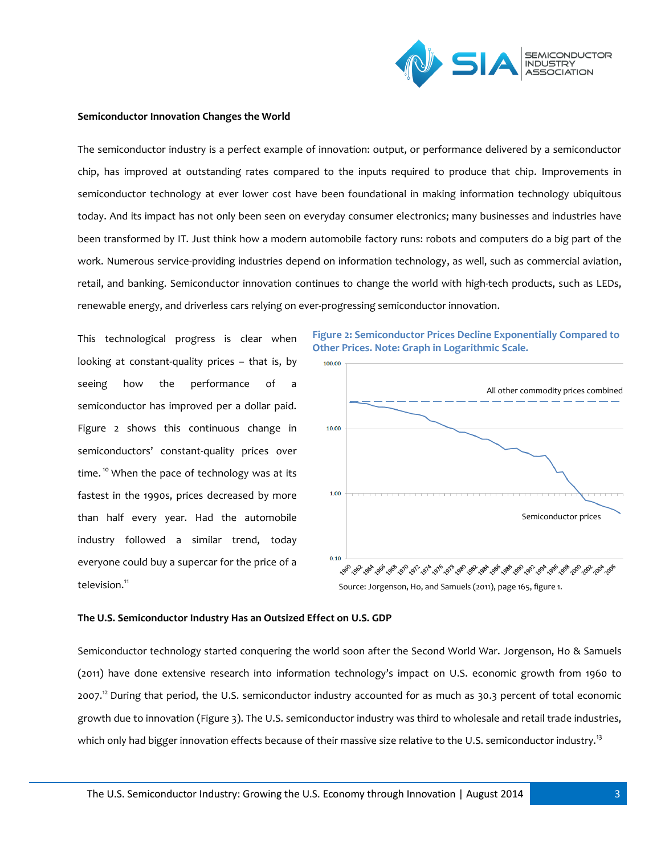

#### **Semiconductor Innovation Changes the World**

The semiconductor industry is a perfect example of innovation: output, or performance delivered by a semiconductor chip, has improved at outstanding rates compared to the inputs required to produce that chip. Improvements in semiconductor technology at ever lower cost have been foundational in making information technology ubiquitous today. And its impact has not only been seen on everyday consumer electronics; many businesses and industries have been transformed by IT. Just think how a modern automobile factory runs: robots and computers do a big part of the work. Numerous service-providing industries depend on information technology, as well, such as commercial aviation, retail, and banking. Semiconductor innovation continues to change the world with high-tech products, such as LEDs, renewable energy, and driverless cars relying on ever-progressing semiconductor innovation.

This technological progress is clear when looking at constant-quality prices – that is, by seeing how the performance of semiconductor has improved per a dollar paid. Figure 2 shows this continuous change in semiconductors' constant-quality prices over time.<sup>10</sup> When the pace of technology was at its fastest in the 1990s, prices decreased by more than half every year. Had the automobile industry followed a similar trend, today everyone could buy a supercar for the price of a television.<sup>11</sup>



#### **The U.S. Semiconductor Industry Has an Outsized Effect on U.S. GDP**

Semiconductor technology started conquering the world soon after the Second World War. Jorgenson, Ho & Samuels (2011) have done extensive research into information technology's impact on U.S. economic growth from 1960 to 2007.<sup>12</sup> During that period, the U.S. semiconductor industry accounted for as much as 30.3 percent of total economic growth due to innovation (Figure 3). The U.S. semiconductor industry was third to wholesale and retail trade industries, which only had bigger innovation effects because of their massive size relative to the U.S. semiconductor industry.<sup>13</sup>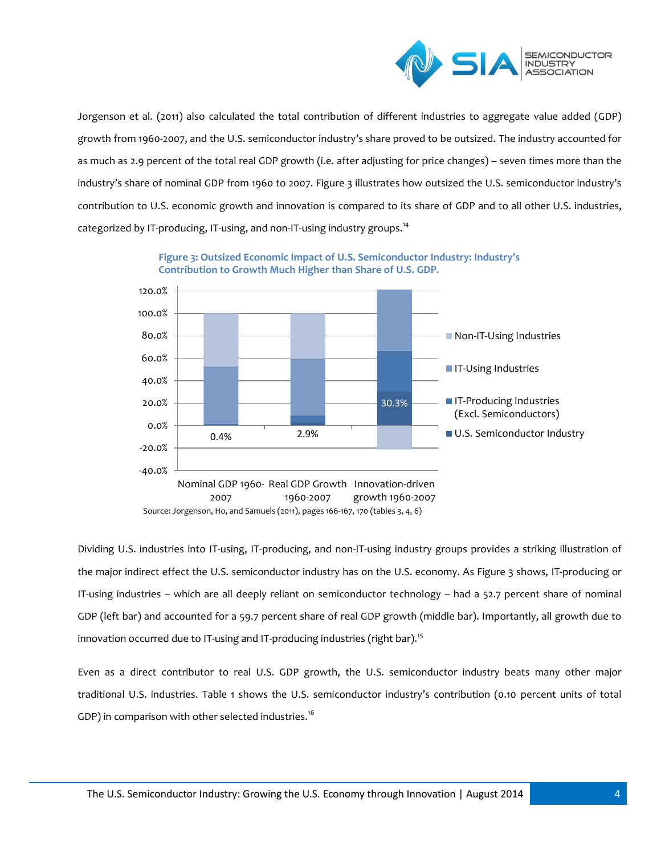

Jorgenson et al. (2011) also calculated the total contribution of different industries to aggregate value added (GDP) growth from 1960-2007, and the U.S. semiconductor industry's share proved to be outsized. The industry accounted for as much as 2.9 percent of the total real GDP growth (i.e. after adjusting for price changes) – seven times more than the industry's share of nominal GDP from 1960 to 2007. Figure 3 illustrates how outsized the U.S. semiconductor industry's contribution to U.S. economic growth and innovation is compared to its share of GDP and to all other U.S. industries, categorized by IT-producing, IT-using, and non-IT-using industry groups.<sup>14</sup>



**Figure 3: Outsized Economic Impact of U.S. Semiconductor Industry: Industry's Contribution to Growth Much Higher than Share of U.S. GDP.**

Dividing U.S. industries into IT-using, IT-producing, and non-IT-using industry groups provides a striking illustration of the major indirect effect the U.S. semiconductor industry has on the U.S. economy. As Figure 3 shows, IT-producing or IT-using industries – which are all deeply reliant on semiconductor technology – had a 52.7 percent share of nominal GDP (left bar) and accounted for a 59.7 percent share of real GDP growth (middle bar). Importantly, all growth due to innovation occurred due to IT-using and IT-producing industries (right bar). 15

Even as a direct contributor to real U.S. GDP growth, the U.S. semiconductor industry beats many other major traditional U.S. industries. Table 1 shows the U.S. semiconductor industry's contribution (0.10 percent units of total GDP) in comparison with other selected industries.<sup>16</sup>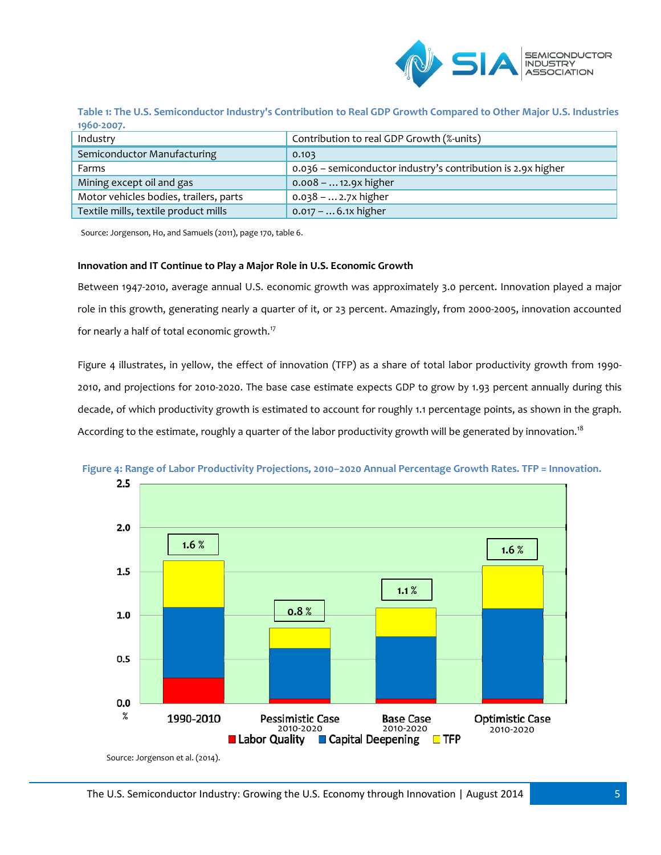

**Table 1: The U.S. Semiconductor Industry's Contribution to Real GDP Growth Compared to Other Major U.S. Industries 1960-2007.**

| Industry                               | Contribution to real GDP Growth (%-units)                    |
|----------------------------------------|--------------------------------------------------------------|
| Semiconductor Manufacturing            | 0.103                                                        |
| Farms                                  | 0.036 - semiconductor industry's contribution is 2.9x higher |
| Mining except oil and gas              | $0.008 -  12.9x$ higher                                      |
| Motor vehicles bodies, trailers, parts | $0.038 -  2.7x$ higher                                       |
| Textile mills, textile product mills   | $0.017 -  6.1x$ higher                                       |

Source: Jorgenson, Ho, and Samuels (2011), page 170, table 6.

## **Innovation and IT Continue to Play a Major Role in U.S. Economic Growth**

Between 1947-2010, average annual U.S. economic growth was approximately 3.0 percent. Innovation played a major role in this growth, generating nearly a quarter of it, or 23 percent. Amazingly, from 2000-2005, innovation accounted for nearly a half of total economic growth. 17

Figure 4 illustrates, in yellow, the effect of innovation (TFP) as a share of total labor productivity growth from 1990- 2010, and projections for 2010-2020. The base case estimate expects GDP to grow by 1.93 percent annually during this decade, of which productivity growth is estimated to account for roughly 1.1 percentage points, as shown in the graph. According to the estimate, roughly a quarter of the labor productivity growth will be generated by innovation.<sup>18</sup>



**Figure 4: Range of Labor Productivity Projections, 2010–2020 Annual Percentage Growth Rates. TFP = Innovation.**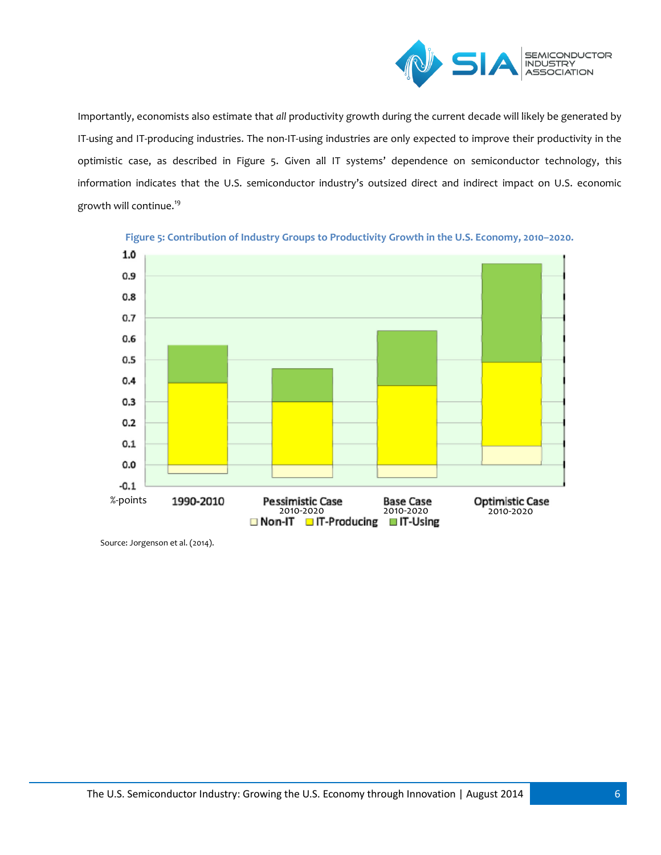

Importantly, economists also estimate that *all* productivity growth during the current decade will likely be generated by IT-using and IT-producing industries. The non-IT-using industries are only expected to improve their productivity in the optimistic case, as described in Figure 5. Given all IT systems' dependence on semiconductor technology, this information indicates that the U.S. semiconductor industry's outsized direct and indirect impact on U.S. economic growth will continue. 19



**Figure 5: Contribution of Industry Groups to Productivity Growth in the U.S. Economy, 2010–2020.**

Source: Jorgenson et al. (2014).